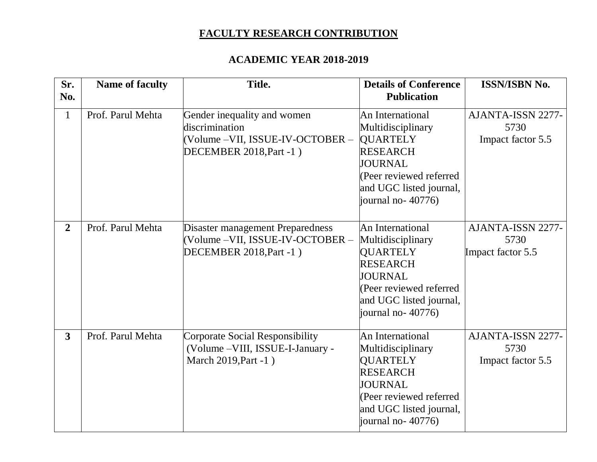## **FACULTY RESEARCH CONTRIBUTION**

## **ACADEMIC YEAR 2018-2019**

| Sr.<br>No.     | <b>Name of faculty</b> | Title.                                                                                                       | <b>Details of Conference</b><br><b>Publication</b>                                                                                                                       | <b>ISSN/ISBN No.</b>                           |
|----------------|------------------------|--------------------------------------------------------------------------------------------------------------|--------------------------------------------------------------------------------------------------------------------------------------------------------------------------|------------------------------------------------|
| $\mathbf{1}$   | Prof. Parul Mehta      | Gender inequality and women<br>discrimination<br>(Volume –VII, ISSUE-IV-OCTOBER –<br>DECEMBER 2018, Part -1) | An International<br>Multidisciplinary<br><b>QUARTELY</b><br><b>RESEARCH</b><br><b>JOURNAL</b><br>(Peer reviewed referred<br>and UGC listed journal,<br>journal no-40776) | AJANTA-ISSN 2277-<br>5730<br>Impact factor 5.5 |
| $\overline{2}$ | Prof. Parul Mehta      | Disaster management Preparedness<br>(Volume –VII, ISSUE-IV-OCTOBER –<br>DECEMBER 2018, Part -1)              | An International<br>Multidisciplinary<br><b>QUARTELY</b><br><b>RESEARCH</b><br><b>JOURNAL</b><br>(Peer reviewed referred<br>and UGC listed journal,<br>journal no-40776) | AJANTA-ISSN 2277-<br>5730<br>Impact factor 5.5 |
| $\overline{3}$ | Prof. Parul Mehta      | Corporate Social Responsibility<br>(Volume - VIII, ISSUE-I-January -<br>March 2019, Part -1)                 | An International<br>Multidisciplinary<br><b>QUARTELY</b><br><b>RESEARCH</b><br><b>JOURNAL</b><br>(Peer reviewed referred<br>and UGC listed journal,<br>journal no-40776) | AJANTA-ISSN 2277-<br>5730<br>Impact factor 5.5 |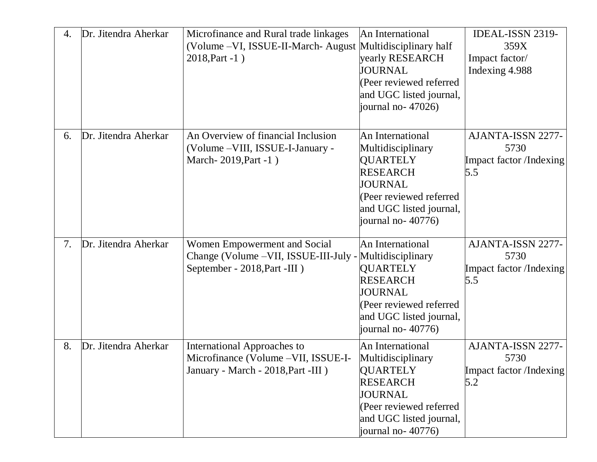| 4. | Dr. Jitendra Aherkar | Microfinance and Rural trade linkages<br>(Volume - VI, ISSUE-II-March- August Multidisciplinary half<br>2018, Part -1)   | An International<br>yearly RESEARCH<br>JOURNAL<br>(Peer reviewed referred<br>and UGC listed journal,<br>journal no- 47026)                                               | <b>IDEAL-ISSN 2319-</b><br>359X<br>Impact factor/<br>Indexing 4.988 |
|----|----------------------|--------------------------------------------------------------------------------------------------------------------------|--------------------------------------------------------------------------------------------------------------------------------------------------------------------------|---------------------------------------------------------------------|
| 6. | Dr. Jitendra Aherkar | An Overview of financial Inclusion<br>(Volume - VIII, ISSUE-I-January -<br>March-2019, Part -1)                          | An International<br>Multidisciplinary<br><b>QUARTELY</b><br><b>RESEARCH</b><br><b>JOURNAL</b><br>(Peer reviewed referred<br>and UGC listed journal,<br>journal no-40776) | AJANTA-ISSN 2277-<br>5730<br>Impact factor/Indexing<br>5.5          |
| 7. | Dr. Jitendra Aherkar | Women Empowerment and Social<br>Change (Volume - VII, ISSUE-III-July - Multidisciplinary<br>September - 2018, Part -III) | An International<br><b>QUARTELY</b><br><b>RESEARCH</b><br><b>JOURNAL</b><br>(Peer reviewed referred<br>and UGC listed journal,<br>journal no-40776)                      | AJANTA-ISSN 2277-<br>5730<br>Impact factor /Indexing<br>5.5         |
| 8. | Dr. Jitendra Aherkar | International Approaches to<br>Microfinance (Volume - VII, ISSUE-I-<br>January - March - 2018, Part -III )               | An International<br>Multidisciplinary<br><b>QUARTELY</b><br><b>RESEARCH</b><br>JOURNAL<br>(Peer reviewed referred<br>and UGC listed journal,<br>journal no- $40776$ )    | AJANTA-ISSN 2277-<br>5730<br>Impact factor /Indexing<br>5.2         |